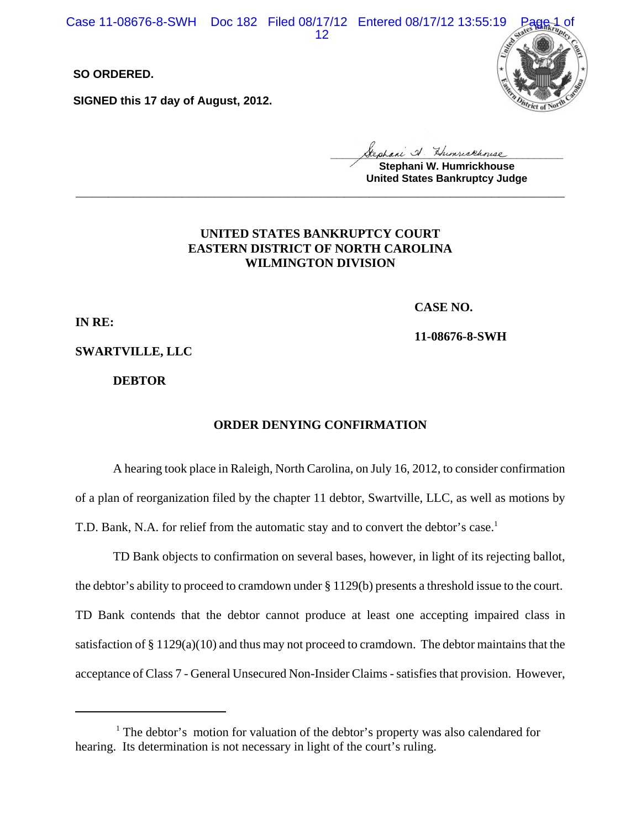Case 11-08676-8-SWH Doc 182 Filed 08/17/12 Entered 08/17/12 13:55:19

12

**SO ORDERED.**

**SIGNED this 17 day of August, 2012.**



**\_\_\_\_\_\_\_\_\_\_\_\_\_\_\_\_\_\_\_\_\_\_\_\_\_\_\_\_\_\_\_\_\_\_\_\_\_\_\_\_**

**Stephani W. Humrickhouse United States Bankruptcy Judge \_\_\_\_\_\_\_\_\_\_\_\_\_\_\_\_\_\_\_\_\_\_\_\_\_\_\_\_\_\_\_\_\_\_\_\_\_\_\_\_\_\_\_\_\_\_\_\_\_\_\_\_\_\_\_\_\_\_\_\_**

## **UNITED STATES BANKRUPTCY COURT EASTERN DISTRICT OF NORTH CAROLINA WILMINGTON DIVISION**

**CASE NO.**

**IN RE:**

**11-08676-8-SWH**

**SWARTVILLE, LLC**

**DEBTOR**

#### **ORDER DENYING CONFIRMATION**

A hearing took place in Raleigh, North Carolina, on July 16, 2012, to consider confirmation of a plan of reorganization filed by the chapter 11 debtor, Swartville, LLC, as well as motions by T.D. Bank, N.A. for relief from the automatic stay and to convert the debtor's case.<sup>1</sup>

TD Bank objects to confirmation on several bases, however, in light of its rejecting ballot, the debtor's ability to proceed to cramdown under § 1129(b) presents a threshold issue to the court. TD Bank contends that the debtor cannot produce at least one accepting impaired class in satisfaction of § 1129(a)(10) and thus may not proceed to cramdown. The debtor maintains that the acceptance of Class 7 - General Unsecured Non-Insider Claims - satisfies that provision. However,

<sup>&</sup>lt;sup>1</sup> The debtor's motion for valuation of the debtor's property was also calendared for hearing. Its determination is not necessary in light of the court's ruling.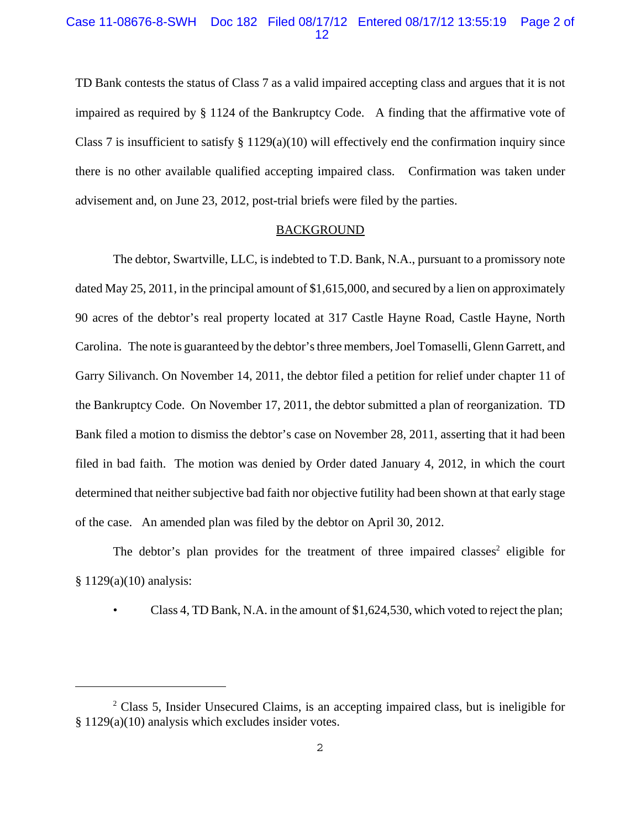### Case 11-08676-8-SWH Doc 182 Filed 08/17/12 Entered 08/17/12 13:55:19 Page 2 of 12

TD Bank contests the status of Class 7 as a valid impaired accepting class and argues that it is not impaired as required by § 1124 of the Bankruptcy Code. A finding that the affirmative vote of Class 7 is insufficient to satisfy  $\S 1129(a)(10)$  will effectively end the confirmation inquiry since there is no other available qualified accepting impaired class. Confirmation was taken under advisement and, on June 23, 2012, post-trial briefs were filed by the parties.

#### **BACKGROUND**

The debtor, Swartville, LLC, is indebted to T.D. Bank, N.A., pursuant to a promissory note dated May 25, 2011, in the principal amount of \$1,615,000, and secured by a lien on approximately 90 acres of the debtor's real property located at 317 Castle Hayne Road, Castle Hayne, North Carolina. The note is guaranteed by the debtor's three members, Joel Tomaselli, Glenn Garrett, and Garry Silivanch. On November 14, 2011, the debtor filed a petition for relief under chapter 11 of the Bankruptcy Code. On November 17, 2011, the debtor submitted a plan of reorganization. TD Bank filed a motion to dismiss the debtor's case on November 28, 2011, asserting that it had been filed in bad faith. The motion was denied by Order dated January 4, 2012, in which the court determined that neither subjective bad faith nor objective futility had been shown at that early stage of the case. An amended plan was filed by the debtor on April 30, 2012.

The debtor's plan provides for the treatment of three impaired classes<sup>2</sup> eligible for  $§ 1129(a)(10)$  analysis:

Class 4, TD Bank, N.A. in the amount of  $$1,624,530$ , which voted to reject the plan;

<sup>&</sup>lt;sup>2</sup> Class 5, Insider Unsecured Claims, is an accepting impaired class, but is ineligible for § 1129(a)(10) analysis which excludes insider votes.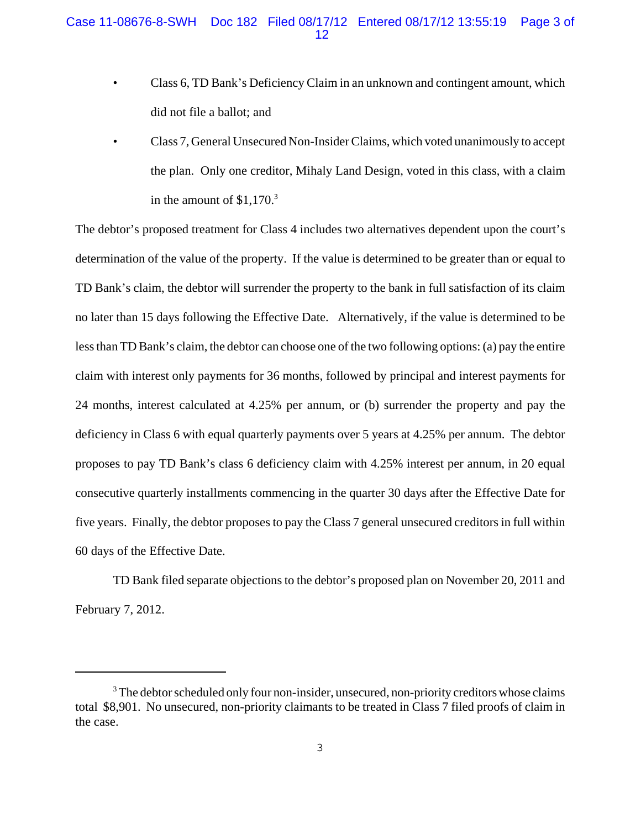- Class 6, TD Bank's Deficiency Claim in an unknown and contingent amount, which did not file a ballot; and
- Class 7, General Unsecured Non-Insider Claims, which voted unanimously to accept the plan. Only one creditor, Mihaly Land Design, voted in this class, with a claim in the amount of  $$1,170.<sup>3</sup>$

The debtor's proposed treatment for Class 4 includes two alternatives dependent upon the court's determination of the value of the property. If the value is determined to be greater than or equal to TD Bank's claim, the debtor will surrender the property to the bank in full satisfaction of its claim no later than 15 days following the Effective Date. Alternatively, if the value is determined to be less than TD Bank's claim, the debtor can choose one of the two following options: (a) pay the entire claim with interest only payments for 36 months, followed by principal and interest payments for 24 months, interest calculated at 4.25% per annum, or (b) surrender the property and pay the deficiency in Class 6 with equal quarterly payments over 5 years at 4.25% per annum. The debtor proposes to pay TD Bank's class 6 deficiency claim with 4.25% interest per annum, in 20 equal consecutive quarterly installments commencing in the quarter 30 days after the Effective Date for five years. Finally, the debtor proposes to pay the Class 7 general unsecured creditors in full within 60 days of the Effective Date.

TD Bank filed separate objections to the debtor's proposed plan on November 20, 2011 and February 7, 2012.

 $3$  The debtor scheduled only four non-insider, unsecured, non-priority creditors whose claims total \$8,901. No unsecured, non-priority claimants to be treated in Class 7 filed proofs of claim in the case.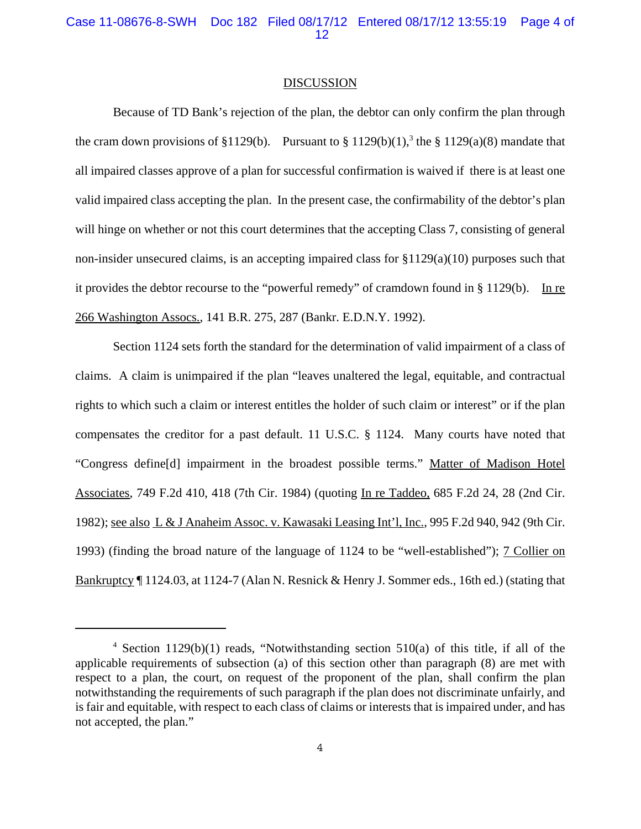Case 11-08676-8-SWH Doc 182 Filed 08/17/12 Entered 08/17/12 13:55:19 Page 4 of 12

#### DISCUSSION

Because of TD Bank's rejection of the plan, the debtor can only confirm the plan through the cram down provisions of §1129(b). Pursuant to § 1129(b)(1),<sup>3</sup> the § 1129(a)(8) mandate that all impaired classes approve of a plan for successful confirmation is waived if there is at least one valid impaired class accepting the plan. In the present case, the confirmability of the debtor's plan will hinge on whether or not this court determines that the accepting Class 7, consisting of general non-insider unsecured claims, is an accepting impaired class for §1129(a)(10) purposes such that it provides the debtor recourse to the "powerful remedy" of cramdown found in  $\S 1129(b)$ . In re 266 Washington Assocs., 141 B.R. 275, 287 (Bankr. E.D.N.Y. 1992).

Section 1124 sets forth the standard for the determination of valid impairment of a class of claims. A claim is unimpaired if the plan "leaves unaltered the legal, equitable, and contractual rights to which such a claim or interest entitles the holder of such claim or interest" or if the plan compensates the creditor for a past default. 11 U.S.C. § 1124. Many courts have noted that "Congress define[d] impairment in the broadest possible terms." Matter of Madison Hotel Associates, 749 F.2d 410, 418 (7th Cir. 1984) (quoting In re Taddeo, 685 F.2d 24, 28 (2nd Cir. 1982); see also L & J Anaheim Assoc. v. Kawasaki Leasing Int'l, Inc., 995 F.2d 940, 942 (9th Cir. 1993) (finding the broad nature of the language of 1124 to be "well-established"); 7 Collier on Bankruptcy ¶ 1124.03, at 1124-7 (Alan N. Resnick & Henry J. Sommer eds., 16th ed.) (stating that

<sup>4</sup> Section 1129(b)(1) reads, "Notwithstanding section 510(a) of this title, if all of the applicable requirements of subsection (a) of this section other than paragraph (8) are met with respect to a plan, the court, on request of the proponent of the plan, shall confirm the plan notwithstanding the requirements of such paragraph if the plan does not discriminate unfairly, and is fair and equitable, with respect to each class of claims or interests that is impaired under, and has not accepted, the plan."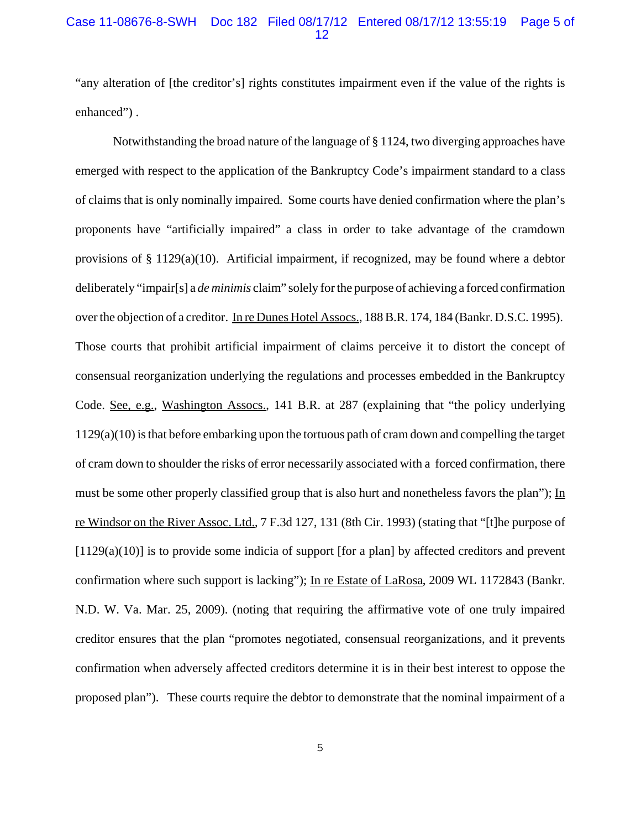### Case 11-08676-8-SWH Doc 182 Filed 08/17/12 Entered 08/17/12 13:55:19 Page 5 of 12

"any alteration of [the creditor's] rights constitutes impairment even if the value of the rights is enhanced").

Notwithstanding the broad nature of the language of § 1124, two diverging approaches have emerged with respect to the application of the Bankruptcy Code's impairment standard to a class of claims that is only nominally impaired. Some courts have denied confirmation where the plan's proponents have "artificially impaired" a class in order to take advantage of the cramdown provisions of § 1129(a)(10). Artificial impairment, if recognized, may be found where a debtor deliberately "impair[s] a *de minimis* claim" solely for the purpose of achieving a forced confirmation over the objection of a creditor. In re Dunes Hotel Assocs., 188 B.R. 174, 184 (Bankr. D.S.C. 1995). Those courts that prohibit artificial impairment of claims perceive it to distort the concept of consensual reorganization underlying the regulations and processes embedded in the Bankruptcy Code. See, e.g., Washington Assocs., 141 B.R. at 287 (explaining that "the policy underlying 1129(a)(10) is that before embarking upon the tortuous path of cram down and compelling the target of cram down to shoulder the risks of error necessarily associated with a forced confirmation, there must be some other properly classified group that is also hurt and nonetheless favors the plan"); In re Windsor on the River Assoc. Ltd., 7 F.3d 127, 131 (8th Cir. 1993) (stating that "[t]he purpose of [1129(a)(10)] is to provide some indicia of support [for a plan] by affected creditors and prevent confirmation where such support is lacking"); In re Estate of LaRosa, 2009 WL 1172843 (Bankr. N.D. W. Va. Mar. 25, 2009). (noting that requiring the affirmative vote of one truly impaired creditor ensures that the plan "promotes negotiated, consensual reorganizations, and it prevents confirmation when adversely affected creditors determine it is in their best interest to oppose the proposed plan"). These courts require the debtor to demonstrate that the nominal impairment of a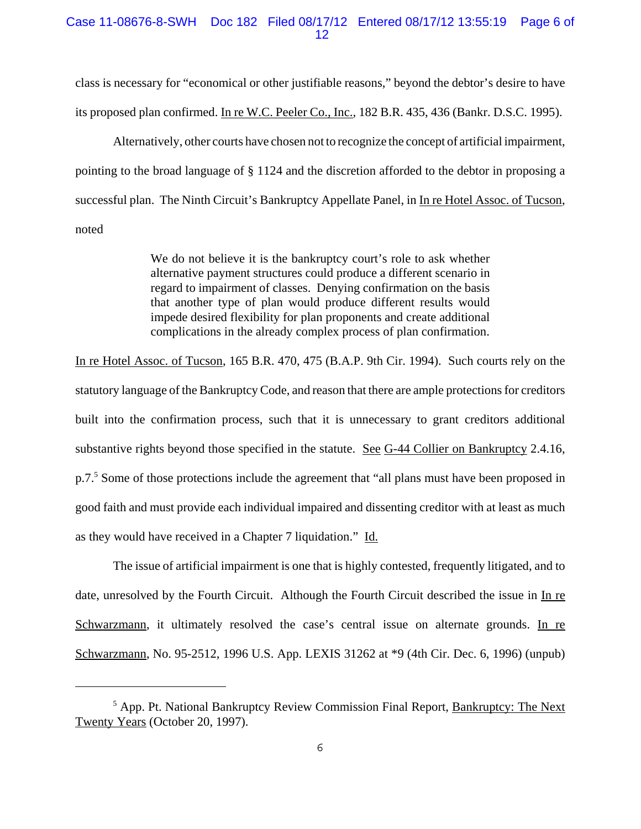### Case 11-08676-8-SWH Doc 182 Filed 08/17/12 Entered 08/17/12 13:55:19 Page 6 of 12

class is necessary for "economical or other justifiable reasons," beyond the debtor's desire to have its proposed plan confirmed. In re W.C. Peeler Co., Inc.*,* 182 B.R. 435, 436 (Bankr. D.S.C. 1995).

Alternatively, other courts have chosen not to recognize the concept of artificial impairment, pointing to the broad language of § 1124 and the discretion afforded to the debtor in proposing a successful plan. The Ninth Circuit's Bankruptcy Appellate Panel, in In re Hotel Assoc. of Tucson, noted

> We do not believe it is the bankruptcy court's role to ask whether alternative payment structures could produce a different scenario in regard to impairment of classes. Denying confirmation on the basis that another type of plan would produce different results would impede desired flexibility for plan proponents and create additional complications in the already complex process of plan confirmation.

In re Hotel Assoc. of Tucson, 165 B.R. 470, 475 (B.A.P. 9th Cir. 1994). Such courts rely on the statutory language of the Bankruptcy Code, and reason that there are ample protections for creditors built into the confirmation process, such that it is unnecessary to grant creditors additional substantive rights beyond those specified in the statute. See G-44 Collier on Bankruptcy 2.4.16, p.7.<sup>5</sup> Some of those protections include the agreement that "all plans must have been proposed in good faith and must provide each individual impaired and dissenting creditor with at least as much as they would have received in a Chapter 7 liquidation." Id.

The issue of artificial impairment is one that is highly contested, frequently litigated, and to date, unresolved by the Fourth Circuit. Although the Fourth Circuit described the issue in In re Schwarzmann, it ultimately resolved the case's central issue on alternate grounds. In re Schwarzmann, No. 95-2512, 1996 U.S. App. LEXIS 31262 at \*9 (4th Cir. Dec. 6, 1996) (unpub)

<sup>&</sup>lt;sup>5</sup> App. Pt. National Bankruptcy Review Commission Final Report, **Bankruptcy: The Next** Twenty Years (October 20, 1997).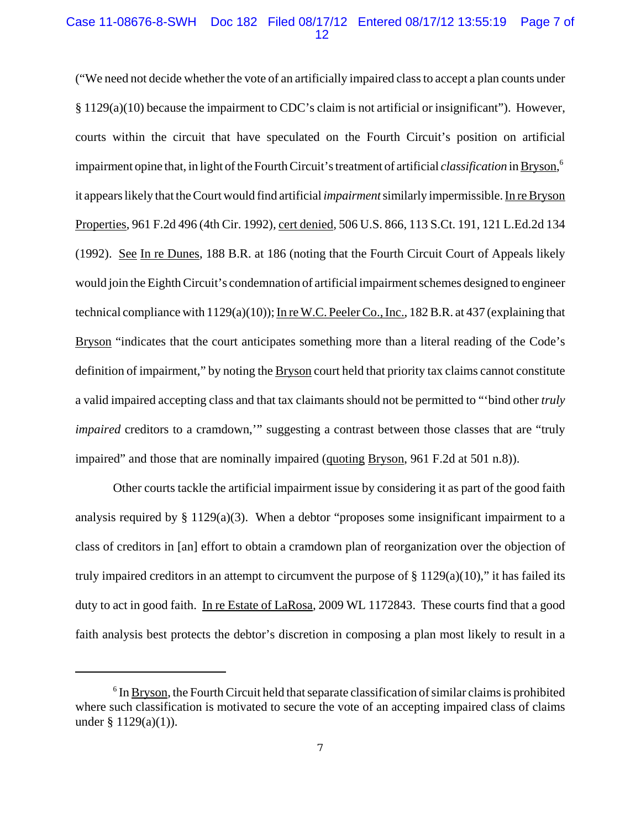### Case 11-08676-8-SWH Doc 182 Filed 08/17/12 Entered 08/17/12 13:55:19 Page 7 of 12

("We need not decide whether the vote of an artificially impaired class to accept a plan counts under § 1129(a)(10) because the impairment to CDC's claim is not artificial or insignificant"). However, courts within the circuit that have speculated on the Fourth Circuit's position on artificial impairment opine that, in light of the Fourth Circuit's treatment of artificial *classification* in Bryson, 6 it appears likely that the Court would find artificial *impairment* similarly impermissible. In re Bryson Properties, 961 F.2d 496 (4th Cir. 1992)*,* cert denied*,* 506 U.S. 866, 113 S.Ct. 191, 121 L.Ed.2d 134 (1992). See In re Dunes, 188 B.R. at 186 (noting that the Fourth Circuit Court of Appeals likely would join the Eighth Circuit's condemnation of artificial impairment schemes designed to engineer technical compliance with 1129(a)(10)); In re W.C. Peeler Co., Inc., 182 B.R. at 437 (explaining that Bryson "indicates that the court anticipates something more than a literal reading of the Code's definition of impairment," by noting the Bryson court held that priority tax claims cannot constitute a valid impaired accepting class and that tax claimants should not be permitted to "'bind other *truly impaired* creditors to a cramdown," suggesting a contrast between those classes that are "truly impaired" and those that are nominally impaired (quoting Bryson, 961 F.2d at 501 n.8)).

Other courts tackle the artificial impairment issue by considering it as part of the good faith analysis required by  $\S 1129(a)(3)$ . When a debtor "proposes some insignificant impairment to a class of creditors in [an] effort to obtain a cramdown plan of reorganization over the objection of truly impaired creditors in an attempt to circumvent the purpose of  $\S 1129(a)(10)$ ," it has failed its duty to act in good faith. In re Estate of LaRosa*,* 2009 WL 1172843. These courts find that a good faith analysis best protects the debtor's discretion in composing a plan most likely to result in a

 $6$  In  $Bryson$ , the Fourth Circuit held that separate classification of similar claims is prohibited where such classification is motivated to secure the vote of an accepting impaired class of claims under  $§ 1129(a)(1)$ ).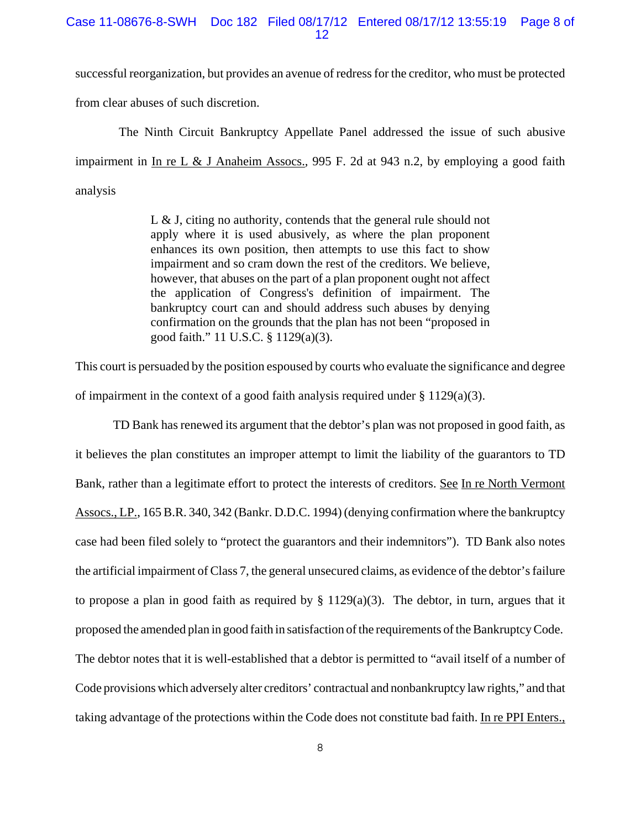### Case 11-08676-8-SWH Doc 182 Filed 08/17/12 Entered 08/17/12 13:55:19 Page 8 of 12

successful reorganization, but provides an avenue of redress for the creditor, who must be protected from clear abuses of such discretion.

 The Ninth Circuit Bankruptcy Appellate Panel addressed the issue of such abusive impairment in In re L & J Anaheim Assocs.*,* 995 F. 2d at 943 n.2, by employing a good faith analysis

> L & J, citing no authority, contends that the general rule should not apply where it is used abusively, as where the plan proponent enhances its own position, then attempts to use this fact to show impairment and so cram down the rest of the creditors. We believe, however, that abuses on the part of a plan proponent ought not affect the application of Congress's definition of impairment. The bankruptcy court can and should address such abuses by denying confirmation on the grounds that the plan has not been "proposed in good faith." 11 U.S.C. § 1129(a)(3).

This court is persuaded by the position espoused by courts who evaluate the significance and degree of impairment in the context of a good faith analysis required under  $\S 1129(a)(3)$ .

TD Bank has renewed its argument that the debtor's plan was not proposed in good faith, as it believes the plan constitutes an improper attempt to limit the liability of the guarantors to TD Bank, rather than a legitimate effort to protect the interests of creditors. See In re North Vermont Assocs., LP., 165 B.R. 340, 342 (Bankr. D.D.C. 1994) (denying confirmation where the bankruptcy case had been filed solely to "protect the guarantors and their indemnitors"). TD Bank also notes the artificial impairment of Class 7, the general unsecured claims, as evidence of the debtor's failure to propose a plan in good faith as required by  $\S 1129(a)(3)$ . The debtor, in turn, argues that it proposed the amended plan in good faith in satisfaction of the requirements of the Bankruptcy Code. The debtor notes that it is well-established that a debtor is permitted to "avail itself of a number of Code provisions which adversely alter creditors' contractual and nonbankruptcy law rights," and that taking advantage of the protections within the Code does not constitute bad faith. In re PPI Enters.,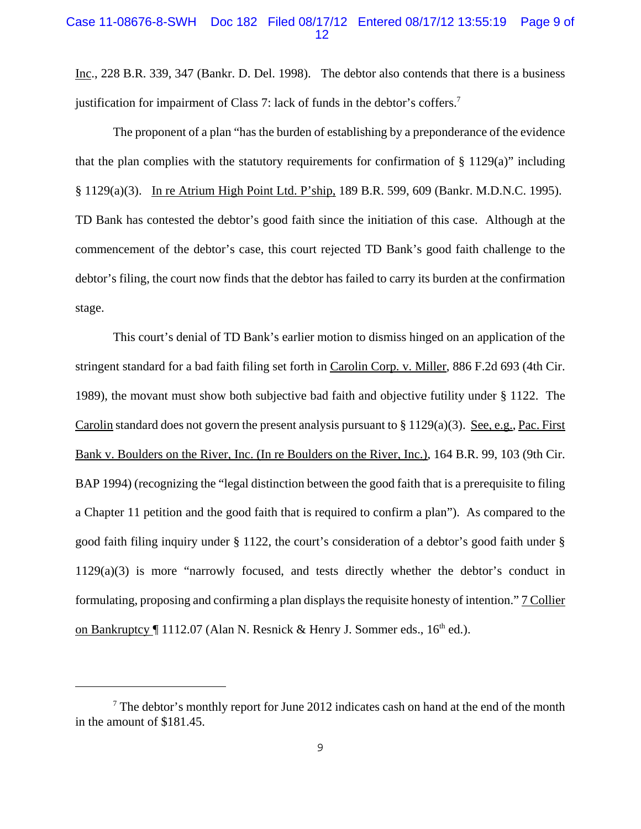#### Case 11-08676-8-SWH Doc 182 Filed 08/17/12 Entered 08/17/12 13:55:19 Page 9 of 12

Inc., 228 B.R. 339, 347 (Bankr. D. Del. 1998). The debtor also contends that there is a business justification for impairment of Class 7: lack of funds in the debtor's coffers.<sup>7</sup>

The proponent of a plan "has the burden of establishing by a preponderance of the evidence that the plan complies with the statutory requirements for confirmation of  $\S$  1129(a)" including § 1129(a)(3). In re Atrium High Point Ltd. P'ship, 189 B.R. 599, 609 (Bankr. M.D.N.C. 1995). TD Bank has contested the debtor's good faith since the initiation of this case. Although at the commencement of the debtor's case, this court rejected TD Bank's good faith challenge to the debtor's filing, the court now finds that the debtor has failed to carry its burden at the confirmation stage.

This court's denial of TD Bank's earlier motion to dismiss hinged on an application of the stringent standard for a bad faith filing set forth in Carolin Corp. v. Miller, 886 F.2d 693 (4th Cir. 1989), the movant must show both subjective bad faith and objective futility under § 1122. The Carolin standard does not govern the present analysis pursuant to § 1129(a)(3). See, e.g., Pac. First Bank v. Boulders on the River, Inc. (In re Boulders on the River, Inc.), 164 B.R. 99, 103 (9th Cir. BAP 1994) (recognizing the "legal distinction between the good faith that is a prerequisite to filing a Chapter 11 petition and the good faith that is required to confirm a plan"). As compared to the good faith filing inquiry under § 1122, the court's consideration of a debtor's good faith under § 1129(a)(3) is more "narrowly focused, and tests directly whether the debtor's conduct in formulating, proposing and confirming a plan displays the requisite honesty of intention." 7 Collier on Bankruptcy  $\P$  1112.07 (Alan N. Resnick & Henry J. Sommer eds., 16<sup>th</sup> ed.).

 $<sup>7</sup>$  The debtor's monthly report for June 2012 indicates cash on hand at the end of the month</sup> in the amount of \$181.45.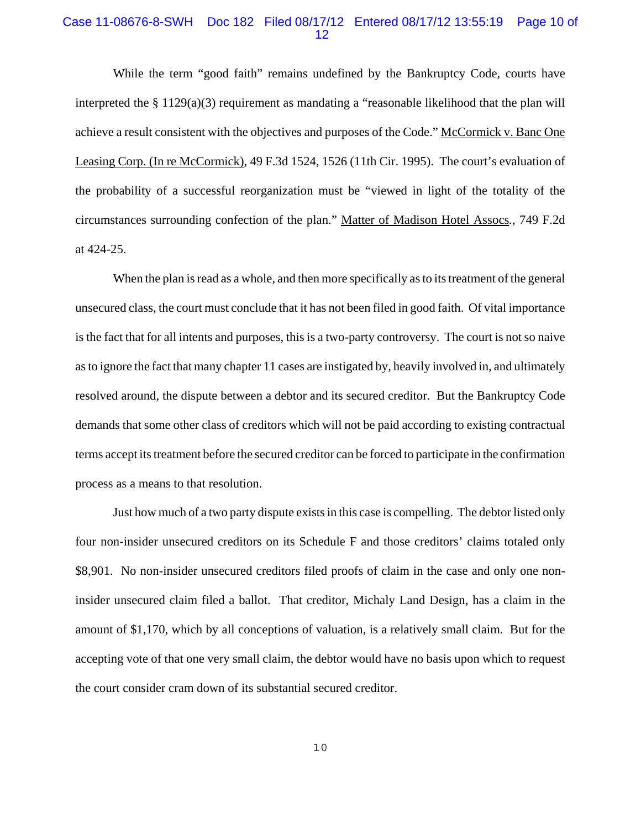#### Case 11-08676-8-SWH Doc 182 Filed 08/17/12 Entered 08/17/12 13:55:19 Page 10 of 12

While the term "good faith" remains undefined by the Bankruptcy Code, courts have interpreted the § 1129(a)(3) requirement as mandating a "reasonable likelihood that the plan will achieve a result consistent with the objectives and purposes of the Code." McCormick v. Banc One Leasing Corp. (In re McCormick), 49 F.3d 1524, 1526 (11th Cir. 1995). The court's evaluation of the probability of a successful reorganization must be "viewed in light of the totality of the circumstances surrounding confection of the plan." Matter of Madison Hotel Assocs*.*, 749 F.2d at 424-25.

When the plan is read as a whole, and then more specifically as to its treatment of the general unsecured class, the court must conclude that it has not been filed in good faith. Of vital importance is the fact that for all intents and purposes, this is a two-party controversy. The court is not so naive as to ignore the fact that many chapter 11 cases are instigated by, heavily involved in, and ultimately resolved around, the dispute between a debtor and its secured creditor. But the Bankruptcy Code demands that some other class of creditors which will not be paid according to existing contractual terms accept its treatment before the secured creditor can be forced to participate in the confirmation process as a means to that resolution.

Just how much of a two party dispute exists in this case is compelling. The debtor listed only four non-insider unsecured creditors on its Schedule F and those creditors' claims totaled only \$8,901. No non-insider unsecured creditors filed proofs of claim in the case and only one noninsider unsecured claim filed a ballot. That creditor, Michaly Land Design, has a claim in the amount of \$1,170, which by all conceptions of valuation, is a relatively small claim. But for the accepting vote of that one very small claim, the debtor would have no basis upon which to request the court consider cram down of its substantial secured creditor.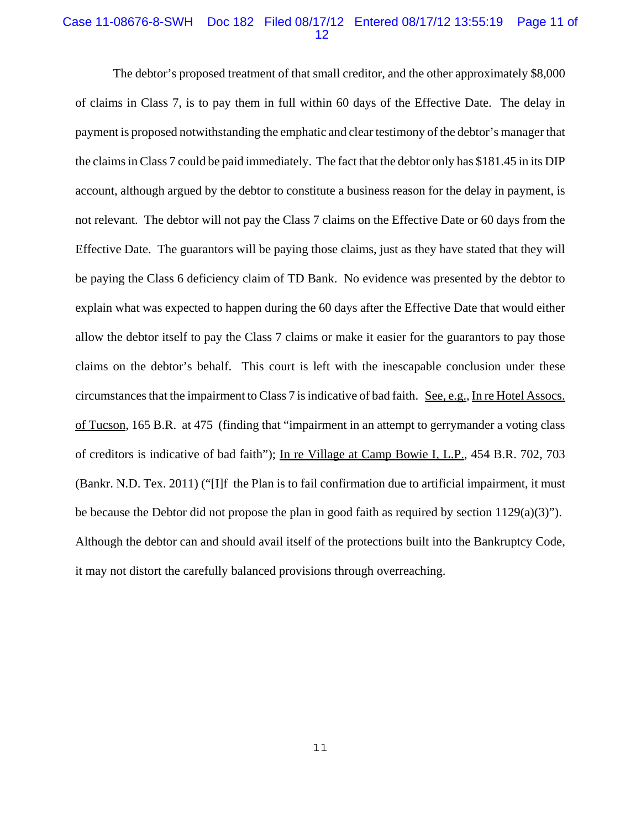### Case 11-08676-8-SWH Doc 182 Filed 08/17/12 Entered 08/17/12 13:55:19 Page 11 of 12

The debtor's proposed treatment of that small creditor, and the other approximately \$8,000 of claims in Class 7, is to pay them in full within 60 days of the Effective Date. The delay in payment is proposed notwithstanding the emphatic and clear testimony of the debtor's manager that the claims in Class 7 could be paid immediately. The fact that the debtor only has \$181.45 in its DIP account, although argued by the debtor to constitute a business reason for the delay in payment, is not relevant. The debtor will not pay the Class 7 claims on the Effective Date or 60 days from the Effective Date. The guarantors will be paying those claims, just as they have stated that they will be paying the Class 6 deficiency claim of TD Bank. No evidence was presented by the debtor to explain what was expected to happen during the 60 days after the Effective Date that would either allow the debtor itself to pay the Class 7 claims or make it easier for the guarantors to pay those claims on the debtor's behalf. This court is left with the inescapable conclusion under these circumstances that the impairment to Class 7 is indicative of bad faith. See, e.g., In re Hotel Assocs. of Tucson, 165 B.R. at 475 (finding that "impairment in an attempt to gerrymander a voting class of creditors is indicative of bad faith"); In re Village at Camp Bowie I, L.P., 454 B.R. 702, 703 (Bankr. N.D. Tex. 2011) ("[I]f the Plan is to fail confirmation due to artificial impairment, it must be because the Debtor did not propose the plan in good faith as required by section 1129(a)(3)"). Although the debtor can and should avail itself of the protections built into the Bankruptcy Code, it may not distort the carefully balanced provisions through overreaching.